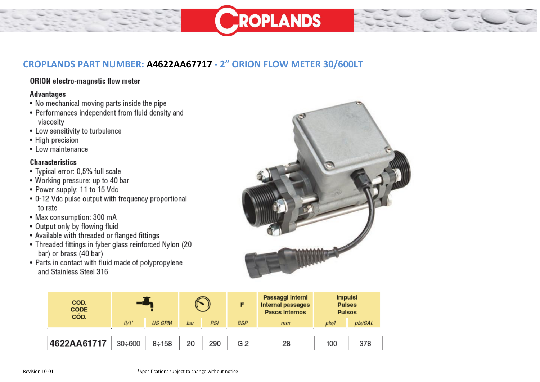## CROPLANDS PART NUMBER: A4622AA67717 - 2" ORION FLOW METER 30/600LT

## ORION electro-magnetic flow meter

## **Advantages**

- No mechanical moving parts inside the pipe
- Performances independent from fluid density and viscositv
- Low sensitivity to turbulence
- High precision
- Low maintenance

## **Characteristics**

- Typical error: 0,5% full scale
- Working pressure: up to 40 bar
- Power supply: 11 to 15 Vdc
- 0-12 Vdc pulse output with frequency proportional to rate
- Max consumption: 300 mA
- Output only by flowing fluid
- Available with threaded or flanged fittings
- Threaded fittings in fyber glass reinforced Nylon (20 bar) or brass (40 bar)
- Parts in contact with fluid made of polypropylene and Stainless Steel 316



**ROPLANDS** 

| COD.<br><b>CODE</b><br>CÓD. |                |               |     |     | F              | Passaggi Interni<br><b>Internal passages</b><br><b>Pasos Internos</b> | <b>Impulsi</b><br><b>Pulses</b><br><b>Pulsos</b> |         |
|-----------------------------|----------------|---------------|-----|-----|----------------|-----------------------------------------------------------------------|--------------------------------------------------|---------|
|                             | I <sup>t</sup> | <b>US GPM</b> | bar | PSI | <b>BSP</b>     | mm                                                                    | pls/l                                            | pls/GAL |
|                             |                |               |     |     |                |                                                                       |                                                  |         |
| 4622AA61717                 | $30 + 600$     | $8 + 158$     | 20  | 290 | G <sub>2</sub> | 28                                                                    | 100                                              | 378     |